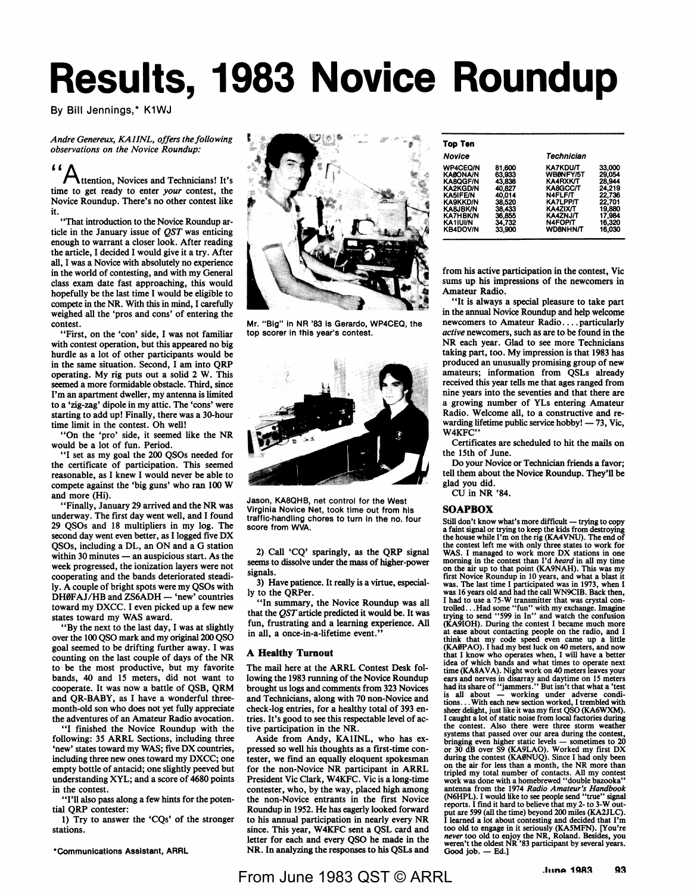# **Results, 1983 Novice Roundup**

By Bill Jennings,\* K1WJ

*Andre Genereux, KAl/NL, offers the following observations on the Novice Roundup:* 

**"A** ttention, Novices and Technicians! It's time to get ready to enter *your* contest, the Novice Roundup. There's no other contest like it.

"That introduction to the Novice Roundup article in the January issue of *QST* was enticing enough to warrant a closer look. After reading the article, I decided I would give it a try. After all, I was a Novice with absolutely no experience in the world of contesting, and with my General class exam date fast approaching, this would hopefully be the last time I would be eligible to compete in the NR. With this in mind, I carefully weighed all the 'pros and cons' of entering the contest.

"First, on the 'con' side, I was not familiar with contest operation, but this appeared no big hurdle as a lot of other participants would be in the same situation. Second, I am into QRP operating. My rig puts out a solid 2 W. This seemed a more formidable obstacle. Third, since I'm an apartment dweller, my antenna is limited to a 'zig-zag' dipole in my attic. The 'cons' were starting to add up! Finally, there was a 30-hour time limit in the contest. Oh well!

"On the 'pro' side, it seemed like the NR would be a lot of fun. Period.

"I set as my goal the 200 QSOs needed for the certificate of participation. This seemed reasonable, as I knew I would never be able to compete against the 'big guns' who ran 100 W and more (Hi).

"Finally, January 29 arrived and the NR was underway. The first day went well, and I found 29 QSOs and 18 multipliers in my log. The second day went even better, as I logged five DX QSOs, including a DL, an ON and a G station within 30 minutes  $-$  an auspicious start. As the week progressed, the ionization layers were not cooperating and the bands deteriorated steadily. A couple of bright spots were my QSOs with DH0FAJ/HB and ZS6ADH - 'new' countries toward my DXCC. I even picked up a few new states toward my WAS award.

"By the next to the last day, I was at slightly over the 100 QSO mark and my original 200 QSO goal seemed to be drifting further away. I was counting on the last couple of days of the NR to be the most productive, but my favorite bands, 40 and 15 meters, did not want to cooperate. It was now a battle of QSB, QRM and **QR-BABY,** as I have a wonderful threemonth-old son who does not yet fully appreciate the adventures of an Amateur Radio avocation.

"I finished the Novice Roundup with the following: 35 ARRL Sections, including three 'new' states toward my WAS; five DX countries, including three new ones toward my DXCC; one empty bottle of antacid; one slightly peeved but understanding XYL; and a score of 4680 points in the contest.

"I'll also pass along a few hints for the potential QRP contester:

1) Try to answer the 'CQs' of the stronger stations.

\*Communications Assistant, ARAL



Mr. "Big" in NR '83 Is Gerardo, WP4CEQ, the top scorer in this year's contest.



Jason, KASQHB, net control for the West Virginia Novice Net, took time out from his traffic-handling chores to turn in the no. four score from WVA.

2) Call 'CQ' sparingly, as the QRP signal seems to dissolve under the mass of higher-power signals.

3) Have patience. It really is a virtue, especially to the QRPer.

"In summary, the Novice Roundup was all that the *QST* article predicted it would be. It was fun, frustrating and a learning experience. All in all, a once-in-a-lifetime event."

### **A Healthy Turnout**

The mail here at the **ARRL** Contest Desk following the 1983 running of the Novice Roundup brought us logs and comments from 323 Novices and Technicians, along with 70 non-Novice and check-log entries, for a healthy total of 393 entries. It's good to see this respectable level of active participation in the NR.

Aside from Andy, KAIINL, who has expressed so well his thoughts as a first-time contester, we find an equally eloquent spokesman for the non-Novice NR participant in ARRL President Vic Clark, W4KFC. Vic is a long-time contester, who, by the way, placed high among the non-Novice entrants in the first Novice Roundup in 1952. He has eagerly looked forward to his annual participation in nearly every **NR**  since. This year, W4KFC sent a QSL card and letter for each and every QSO he made in the NR. In analyzing the responses to his QSLs and

| <b>Top Ten</b>                                                                                                                                                      |                                                                                                  |                                                                                                                                                               |                                                                                                  |  |
|---------------------------------------------------------------------------------------------------------------------------------------------------------------------|--------------------------------------------------------------------------------------------------|---------------------------------------------------------------------------------------------------------------------------------------------------------------|--------------------------------------------------------------------------------------------------|--|
| Novice                                                                                                                                                              |                                                                                                  | Technician                                                                                                                                                    |                                                                                                  |  |
| <b>WP4CEQ/N</b><br><b>KA@ONA/N</b><br><b>KA8QGF/N</b><br>KA2KGD/N<br>KA5IFE/N<br>KA9KKD/N<br><b>KA&amp;JBK/N</b><br><b>KA7HBK/N</b><br>KA 11UI/N<br><b>KB4DOV/N</b> | 81.600<br>63.933<br>43,836<br>40,827<br>40,014<br>38.520<br>38.433<br>36.855<br>34.732<br>33.900 | <b>KA7KDU/T</b><br>WBØNFY/5T<br>KA4RXK/T<br>KA8GCC/T<br><b>N4FLF/T</b><br><b>KA7LPP/T</b><br>KA4ZIX/T<br><b>KA4ZNJ/T</b><br><b>N4FOP/T</b><br><b>WD8NHN/T</b> | 33,000<br>29,054<br>28,944<br>24.219<br>22.736<br>22.701<br>19.880<br>17.984<br>16,320<br>16,030 |  |

from his active participation in the contest, Vic sums up his impressions of the newcomers in **Amateur Radio.** 

"It is always a special pleasure to take part in the annual Novice Roundup and help welcome newcomers to Amateur Radio .... particularly *active* newcomers, such as are to be found in the **NR** each year. Glad to see more Technicians taking part, too. My impression is that 1983 has produced an unusually promising group of new amateurs; information from QSLs already received this year tells me that ages ranged from nine years into the seventies and that there are a growing number of YLs entering Amateur Radio. Welcome all, to a constructive and rewarding lifetime public service hobby!  $-73$ , Vic, W4KFC"

Certificates are scheduled to hit the mails on the 15th of June.

Do your Novice or Technician friends a favor; tell them about the Novice Roundup. They'll be glad you did.

CU in NR '84.

### **SOAPBOX**

Still don't know what's more difficult - trying to copy a faint signal or trying to keep the kids from destroying the house while I'm on the rig (KA4VNU). The end of the contest left me with only three states to work for WAS. I managed to work more DX stations in one morning in the contest than I'd *heard* in all my time on the air up to that point (KA9NAH). This was my first Novice Roundup in 10 years, and what a blast it was. The last time I participated was in 1973, when I was 16 years old and had the call WN9CIB. Back then, I had to use a 75-W transmitter that was crystal controlled . . .Had some "fun" with my exchange. Imagine trying to send "599 in In" and watch the confusion (KA9IOH). During the contest I became much more at ease about contacting people on the radio, and I think that my code speed even came up a little **(KA0PAO).** I had my best luck on 40 meters, and now that I know who operates when, I will have a better idea of which bands and what times to operate next time **(KASAVA).** Night work on 40 meters leaves your ears and nerves in disarray and daytime on 15 meters had its share of "jammers." But isn't that what a 'test is all about — working under adverse conditions...With each new section worked, I trembled with sheer delight, just like it was my first QSO **(KA6WXM).**  I caught a lot of static noise from local factories during the contest. Also there were three storm weather systems that passed over our area during the contest,<br>bringing even higher static levels — sometimes to 20<br>or 30 dB over S9 (KA9LAO). Worked my first DX<br>during the contest (KAØNUQ). Since I had only been<br>on the air for les tripled my total number of contacts. All my contest<br>work was done with a homebrewed "double bazooka"<br>antenna from the 1974 Radio Amateur's Handbook<br>(N6HPL). I would like to see people send "true" signal<br>reports. I find it put are *599* (all the time) beyond 200 miles (KA2JLC). I learned a lot about contesting and decided that I'm too old to engage in it seriously (KA5MFN). [You're *never* too old to enjoy the NR, Roland. Besides, you weren't the oldest NR '83 participant by several years. Good job.  $-$  Ed.]

## From June 1983 QST © ARRL